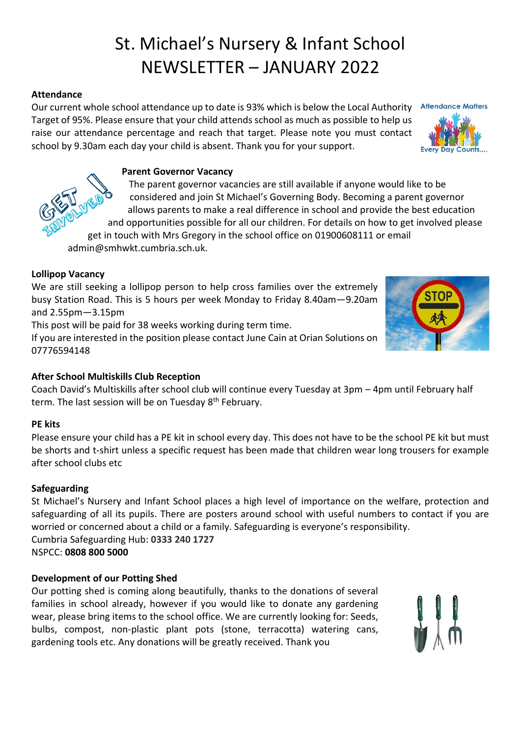# St. Michael's Nursery & Infant School NEWSLETTER – JANUARY 2022

# **Attendance**

Our current whole school attendance up to date is 93% which is below the Local Authority Target of 95%. Please ensure that your child attends school as much as possible to help us raise our attendance percentage and reach that target. Please note you must contact school by 9.30am each day your child is absent. Thank you for your support.

## **Parent Governor Vacancy**

The parent governor vacancies are still available if anyone would like to be considered and join St Michael's Governing Body. Becoming a parent governor allows parents to make a real difference in school and provide the best education and opportunities possible for all our children. For details on how to get involved please get in touch with Mrs Gregory in the school office on 01900608111 or email

admin@smhwkt.cumbria.sch.uk.

## **Lollipop Vacancy**

We are still seeking a lollipop person to help cross families over the extremely busy Station Road. This is 5 hours per week Monday to Friday 8.40am—9.20am and 2.55pm—3.15pm

This post will be paid for 38 weeks working during term time.

If you are interested in the position please contact June Cain at Orian Solutions on 07776594148

## **After School Multiskills Club Reception**

Coach David's Multiskills after school club will continue every Tuesday at 3pm – 4pm until February half term. The last session will be on Tuesday 8<sup>th</sup> February.

## **PE kits**

Please ensure your child has a PE kit in school every day. This does not have to be the school PE kit but must be shorts and t-shirt unless a specific request has been made that children wear long trousers for example after school clubs etc

## **Safeguarding**

St Michael's Nursery and Infant School places a high level of importance on the welfare, protection and safeguarding of all its pupils. There are posters around school with useful numbers to contact if you are worried or concerned about a child or a family. Safeguarding is everyone's responsibility. Cumbria Safeguarding Hub: **0333 240 1727** NSPCC: **0808 800 5000**

## **Development of our Potting Shed**

Our potting shed is coming along beautifully, thanks to the donations of several families in school already, however if you would like to donate any gardening wear, please bring items to the school office. We are currently looking for: Seeds, bulbs, compost, non-plastic plant pots (stone, terracotta) watering cans, gardening tools etc. Any donations will be greatly received. Thank you